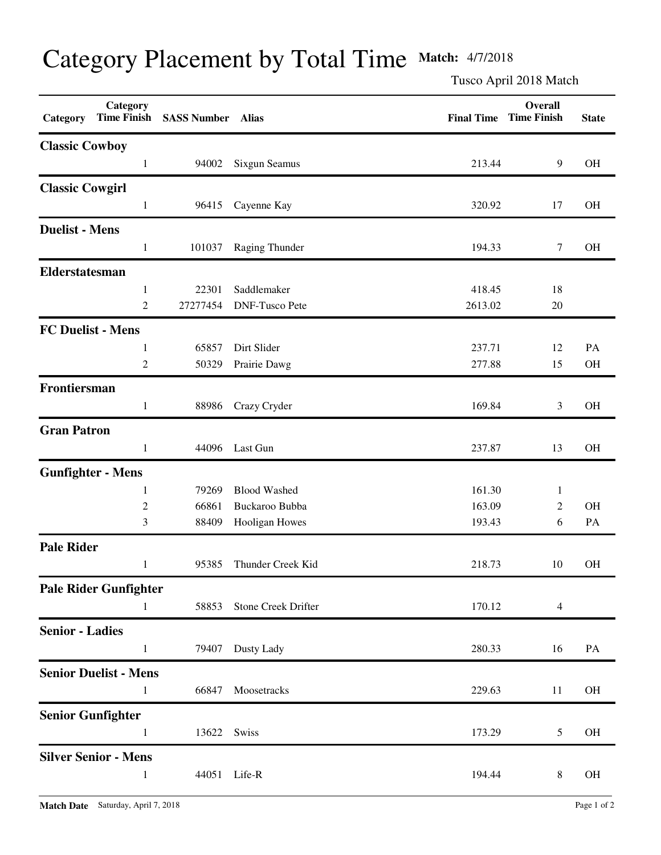## Category Placement by Total Time **Match:** 4/7/2018

Tusco April 2018 Match

| Category                 | Category<br><b>Time Finish</b> | <b>SASS Number Alias</b> |                       |         | Overall<br><b>Final Time Time Finish</b> | <b>State</b> |
|--------------------------|--------------------------------|--------------------------|-----------------------|---------|------------------------------------------|--------------|
| <b>Classic Cowboy</b>    |                                |                          |                       |         |                                          |              |
|                          | $\mathbf{1}$                   | 94002                    | Sixgun Seamus         | 213.44  | 9                                        | $\rm OH$     |
| <b>Classic Cowgirl</b>   |                                |                          |                       |         |                                          |              |
|                          | $\mathbf{1}$                   | 96415                    | Cayenne Kay           | 320.92  | 17                                       | <b>OH</b>    |
| <b>Duelist - Mens</b>    |                                |                          |                       |         |                                          |              |
|                          | $\mathbf{1}$                   | 101037                   | Raging Thunder        | 194.33  | 7                                        | <b>OH</b>    |
| Elderstatesman           |                                |                          |                       |         |                                          |              |
|                          | 1                              | 22301                    | Saddlemaker           | 418.45  | 18                                       |              |
|                          | $\overline{c}$                 | 27277454                 | <b>DNF-Tusco Pete</b> | 2613.02 | 20                                       |              |
| <b>FC Duelist - Mens</b> |                                |                          |                       |         |                                          |              |
|                          | 1                              | 65857                    | Dirt Slider           | 237.71  | 12                                       | PA           |
|                          | $\overline{c}$                 | 50329                    | Prairie Dawg          | 277.88  | 15                                       | OH           |
| Frontiersman             |                                |                          |                       |         |                                          |              |
|                          | 1                              | 88986                    | Crazy Cryder          | 169.84  | 3                                        | <b>OH</b>    |
| <b>Gran Patron</b>       |                                |                          |                       |         |                                          |              |
|                          | $\mathbf{1}$                   | 44096                    | Last Gun              | 237.87  | 13                                       | <b>OH</b>    |
| <b>Gunfighter - Mens</b> |                                |                          |                       |         |                                          |              |
|                          | 1                              | 79269                    | <b>Blood Washed</b>   | 161.30  | $\mathbf{1}$                             |              |
|                          | $\sqrt{2}$                     | 66861                    | Buckaroo Bubba        | 163.09  | $\mathfrak{2}$                           | <b>OH</b>    |
|                          | 3                              | 88409                    | Hooligan Howes        | 193.43  | 6                                        | PA           |
| <b>Pale Rider</b>        |                                |                          |                       |         |                                          |              |
|                          | $\mathbf{1}$                   | 95385                    | Thunder Creek Kid     | 218.73  | 10                                       | OH           |
|                          | <b>Pale Rider Gunfighter</b>   |                          |                       |         |                                          |              |
|                          | $\mathbf{1}$                   | 58853                    | Stone Creek Drifter   | 170.12  | $\overline{4}$                           |              |
| <b>Senior - Ladies</b>   |                                |                          |                       |         |                                          |              |
|                          | $\mathbf{1}$                   | 79407                    | Dusty Lady            | 280.33  | 16                                       | PA           |
|                          | <b>Senior Duelist - Mens</b>   |                          |                       |         |                                          |              |
|                          | 1                              | 66847                    | Moosetracks           | 229.63  | 11                                       | <b>OH</b>    |
| <b>Senior Gunfighter</b> |                                |                          |                       |         |                                          |              |
|                          | 1                              | 13622                    | Swiss                 | 173.29  | 5                                        | OH           |
|                          | <b>Silver Senior - Mens</b>    |                          |                       |         |                                          |              |
|                          | 1                              | 44051                    | Life-R                | 194.44  | 8                                        | <b>OH</b>    |